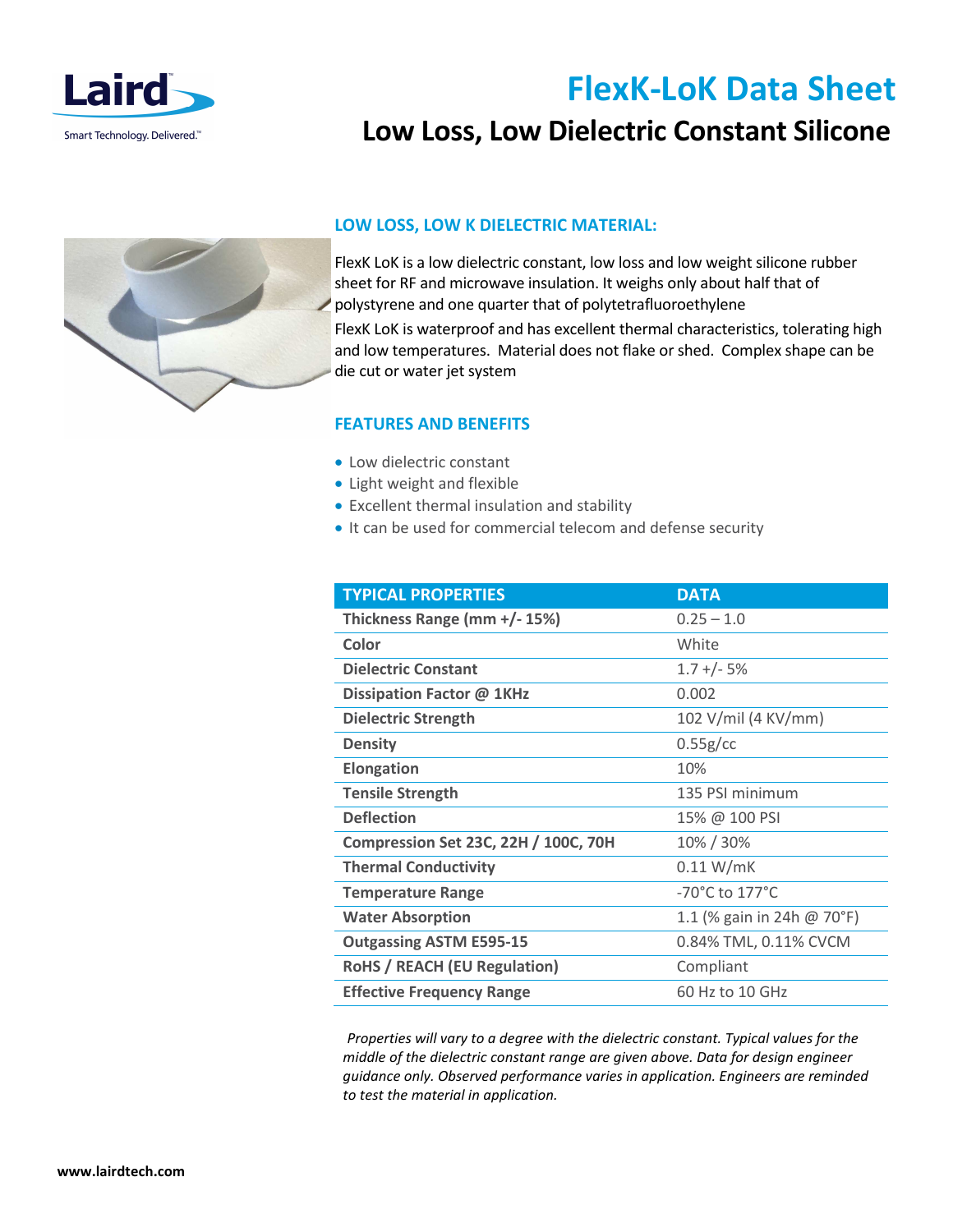

# **FlexK-LoK Data Sheet**

## **Low Loss, Low Dielectric Constant Silicone**



### **LOW LOSS, LOW K DIELECTRIC MATERIAL:**

FlexK LoK is a low dielectric constant, low loss and low weight silicone rubber sheet for RF and microwave insulation. It weighs only about half that of polystyrene and one quarter that of polytetrafluoroethylene FlexK LoK is waterproof and has excellent thermal characteristics, tolerating high and low temperatures. Material does not flake or shed. Complex shape can be die cut or water jet system

### **FEATURES AND BENEFITS**

- Low dielectric constant
- Light weight and flexible
- Excellent thermal insulation and stability
- It can be used for commercial telecom and defense security

| <b>TYPICAL PROPERTIES</b>                   | <b>DATA</b>                |
|---------------------------------------------|----------------------------|
| Thickness Range (mm +/- 15%)                | $0.25 - 1.0$               |
| Color                                       | White                      |
| <b>Dielectric Constant</b>                  | $1.7 + (-5%)$              |
| Dissipation Factor @ 1KHz                   | 0.002                      |
| <b>Dielectric Strength</b>                  | 102 V/mil (4 KV/mm)        |
| <b>Density</b>                              | 0.55g/cc                   |
| <b>Elongation</b>                           | 10%                        |
| <b>Tensile Strength</b>                     | 135 PSI minimum            |
| <b>Deflection</b>                           | 15% @ 100 PSI              |
| <b>Compression Set 23C, 22H / 100C, 70H</b> | 10% / 30%                  |
| <b>Thermal Conductivity</b>                 | 0.11 W/mK                  |
| <b>Temperature Range</b>                    | -70°C to 177°C             |
| <b>Water Absorption</b>                     | 1.1 (% gain in 24h @ 70°F) |
| <b>Outgassing ASTM E595-15</b>              | 0.84% TML, 0.11% CVCM      |
| <b>RoHS / REACH (EU Regulation)</b>         | Compliant                  |
| <b>Effective Frequency Range</b>            | 60 Hz to 10 GHz            |

*Properties will vary to a degree with the dielectric constant. Typical values for the middle of the dielectric constant range are given above. Data for design engineer guidance only. Observed performance varies in application. Engineers are reminded to test the material in application.*